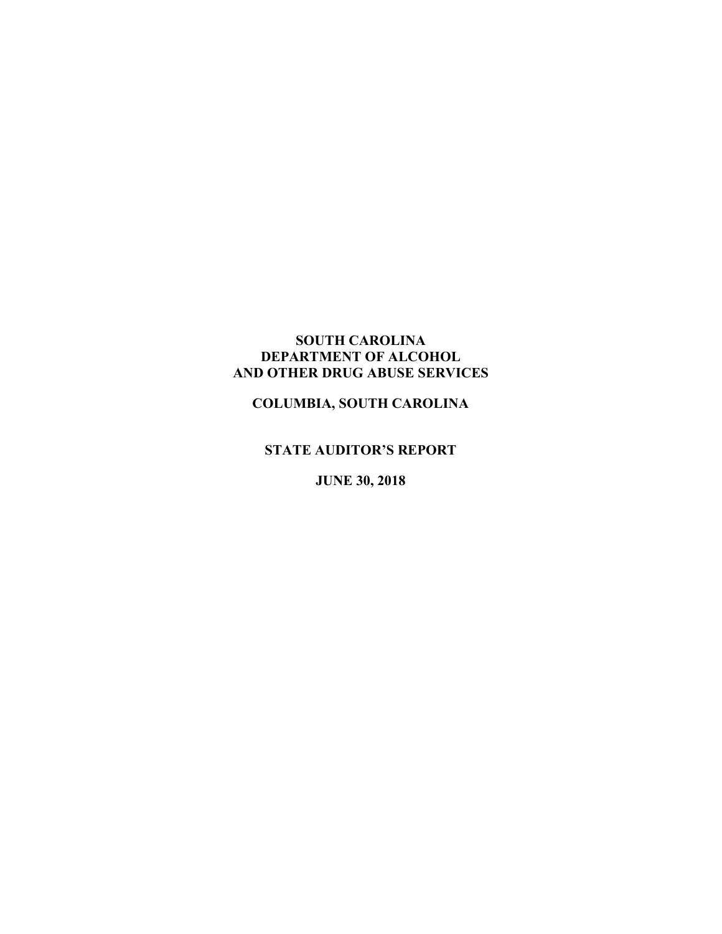# **SOUTH CAROLINA DEPARTMENT OF ALCOHOL AND OTHER DRUG ABUSE SERVICES**

# **COLUMBIA, SOUTH CAROLINA**

# **STATE AUDITOR'S REPORT**

**JUNE 30, 2018**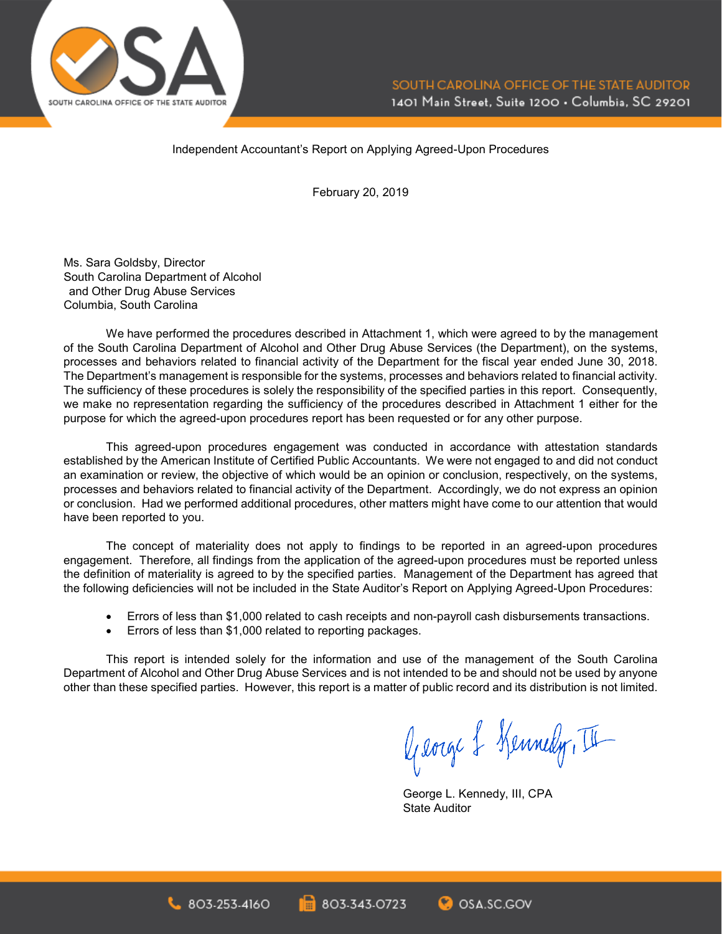

Independent Accountant's Report on Applying Agreed-Upon Procedures

February 20, 2019

Ms. Sara Goldsby, Director South Carolina Department of Alcohol and Other Drug Abuse Services Columbia, South Carolina

We have performed the procedures described in Attachment 1, which were agreed to by the management of the South Carolina Department of Alcohol and Other Drug Abuse Services (the Department), on the systems, processes and behaviors related to financial activity of the Department for the fiscal year ended June 30, 2018. The Department's management is responsible for the systems, processes and behaviors related to financial activity. The sufficiency of these procedures is solely the responsibility of the specified parties in this report. Consequently, we make no representation regarding the sufficiency of the procedures described in Attachment 1 either for the purpose for which the agreed-upon procedures report has been requested or for any other purpose.

This agreed-upon procedures engagement was conducted in accordance with attestation standards established by the American Institute of Certified Public Accountants. We were not engaged to and did not conduct an examination or review, the objective of which would be an opinion or conclusion, respectively, on the systems, processes and behaviors related to financial activity of the Department. Accordingly, we do not express an opinion or conclusion. Had we performed additional procedures, other matters might have come to our attention that would have been reported to you.

The concept of materiality does not apply to findings to be reported in an agreed-upon procedures engagement. Therefore, all findings from the application of the agreed-upon procedures must be reported unless the definition of materiality is agreed to by the specified parties. Management of the Department has agreed that the following deficiencies will not be included in the State Auditor's Report on Applying Agreed-Upon Procedures:

- Errors of less than \$1,000 related to cash receipts and non-payroll cash disbursements transactions.
- Errors of less than \$1,000 related to reporting packages.

This report is intended solely for the information and use of the management of the South Carolina Department of Alcohol and Other Drug Abuse Services and is not intended to be and should not be used by anyone other than these specified parties. However, this report is a matter of public record and its distribution is not limited.

George & Kennedy, II

George L. Kennedy, III, CPA State Auditor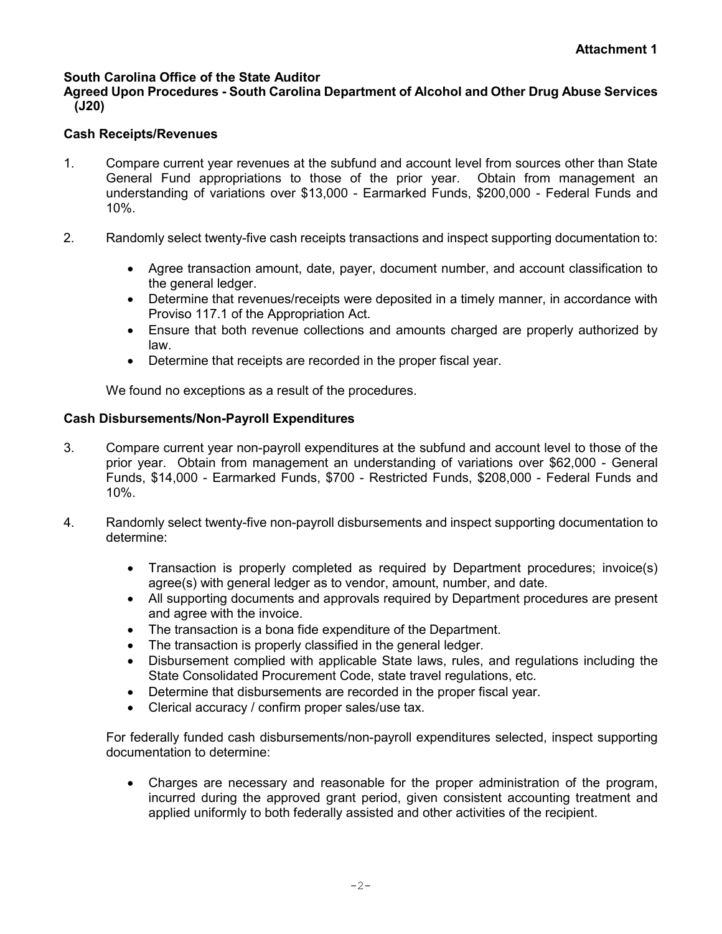## **South Carolina Office of the State Auditor**

### **Agreed Upon Procedures - South Carolina Department of Alcohol and Other Drug Abuse Services (J20)**

#### **Cash Receipts/Revenues**

- 1. Compare current year revenues at the subfund and account level from sources other than State General Fund appropriations to those of the prior year. Obtain from management an understanding of variations over \$13,000 - Earmarked Funds, \$200,000 - Federal Funds and 10%.
- 2. Randomly select twenty-five cash receipts transactions and inspect supporting documentation to:
	- Agree transaction amount, date, payer, document number, and account classification to the general ledger.
	- Determine that revenues/receipts were deposited in a timely manner, in accordance with Proviso 117.1 of the Appropriation Act.
	- Ensure that both revenue collections and amounts charged are properly authorized by law.
	- Determine that receipts are recorded in the proper fiscal year.

We found no exceptions as a result of the procedures.

#### **Cash Disbursements/Non-Payroll Expenditures**

- 3. Compare current year non-payroll expenditures at the subfund and account level to those of the prior year. Obtain from management an understanding of variations over \$62,000 - General Funds, \$14,000 - Earmarked Funds, \$700 - Restricted Funds, \$208,000 - Federal Funds and 10%.
- 4. Randomly select twenty-five non-payroll disbursements and inspect supporting documentation to determine:
	- Transaction is properly completed as required by Department procedures; invoice(s) agree(s) with general ledger as to vendor, amount, number, and date.
	- All supporting documents and approvals required by Department procedures are present and agree with the invoice.
	- The transaction is a bona fide expenditure of the Department.
	- The transaction is properly classified in the general ledger.
	- Disbursement complied with applicable State laws, rules, and regulations including the State Consolidated Procurement Code, state travel regulations, etc.
	- Determine that disbursements are recorded in the proper fiscal year.
	- Clerical accuracy / confirm proper sales/use tax.

For federally funded cash disbursements/non-payroll expenditures selected, inspect supporting documentation to determine:

• Charges are necessary and reasonable for the proper administration of the program, incurred during the approved grant period, given consistent accounting treatment and applied uniformly to both federally assisted and other activities of the recipient.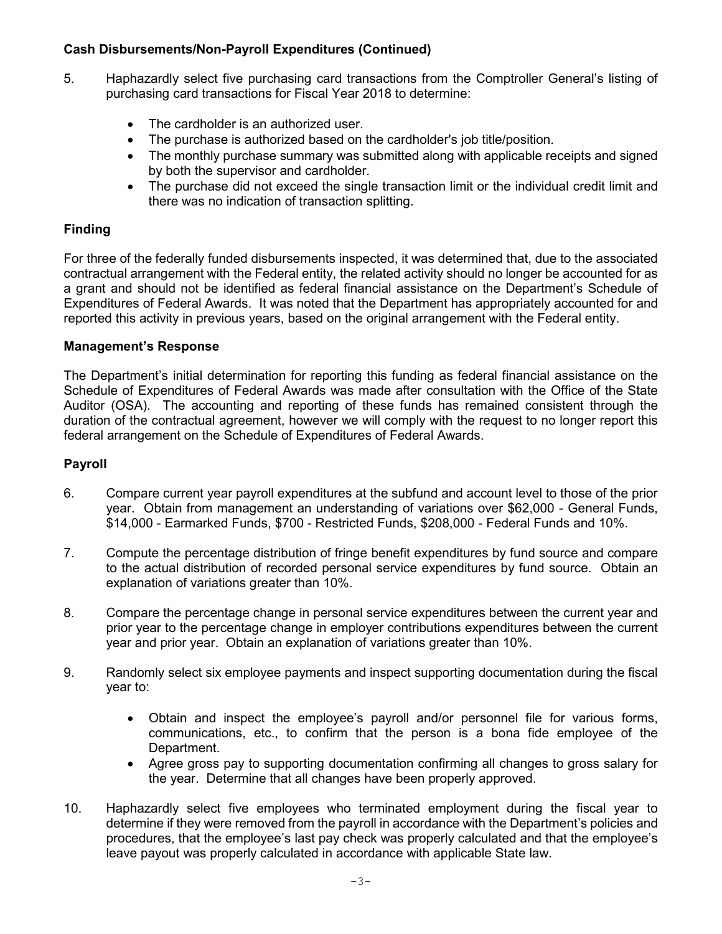## **Cash Disbursements/Non-Payroll Expenditures (Continued)**

- 5. Haphazardly select five purchasing card transactions from the Comptroller General's listing of purchasing card transactions for Fiscal Year 2018 to determine:
	- The cardholder is an authorized user.
	- The purchase is authorized based on the cardholder's job title/position.
	- The monthly purchase summary was submitted along with applicable receipts and signed by both the supervisor and cardholder.
	- The purchase did not exceed the single transaction limit or the individual credit limit and there was no indication of transaction splitting.

## **Finding**

For three of the federally funded disbursements inspected, it was determined that, due to the associated contractual arrangement with the Federal entity, the related activity should no longer be accounted for as a grant and should not be identified as federal financial assistance on the Department's Schedule of Expenditures of Federal Awards. It was noted that the Department has appropriately accounted for and reported this activity in previous years, based on the original arrangement with the Federal entity.

## **Management's Response**

The Department's initial determination for reporting this funding as federal financial assistance on the Schedule of Expenditures of Federal Awards was made after consultation with the Office of the State Auditor (OSA). The accounting and reporting of these funds has remained consistent through the duration of the contractual agreement, however we will comply with the request to no longer report this federal arrangement on the Schedule of Expenditures of Federal Awards.

#### **Payroll**

- 6. Compare current year payroll expenditures at the subfund and account level to those of the prior year. Obtain from management an understanding of variations over \$62,000 - General Funds, \$14,000 - Earmarked Funds, \$700 - Restricted Funds, \$208,000 - Federal Funds and 10%.
- 7. Compute the percentage distribution of fringe benefit expenditures by fund source and compare to the actual distribution of recorded personal service expenditures by fund source. Obtain an explanation of variations greater than 10%.
- 8. Compare the percentage change in personal service expenditures between the current year and prior year to the percentage change in employer contributions expenditures between the current year and prior year. Obtain an explanation of variations greater than 10%.
- 9. Randomly select six employee payments and inspect supporting documentation during the fiscal year to:
	- Obtain and inspect the employee's payroll and/or personnel file for various forms, communications, etc., to confirm that the person is a bona fide employee of the Department.
	- Agree gross pay to supporting documentation confirming all changes to gross salary for the year. Determine that all changes have been properly approved.
- 10. Haphazardly select five employees who terminated employment during the fiscal year to determine if they were removed from the payroll in accordance with the Department's policies and procedures, that the employee's last pay check was properly calculated and that the employee's leave payout was properly calculated in accordance with applicable State law.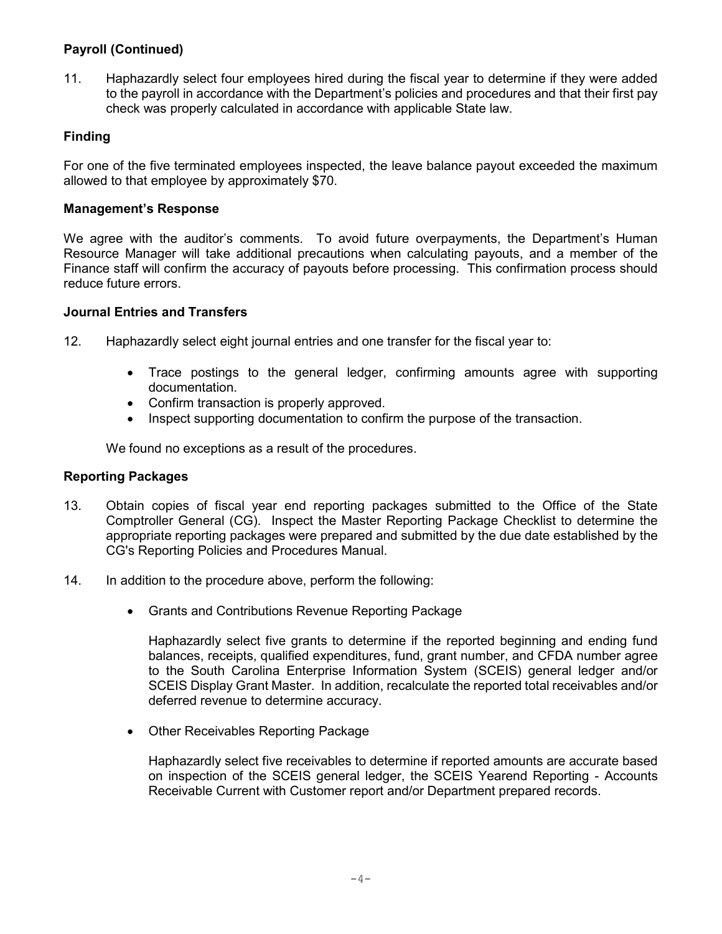# **Payroll (Continued)**

11. Haphazardly select four employees hired during the fiscal year to determine if they were added to the payroll in accordance with the Department's policies and procedures and that their first pay check was properly calculated in accordance with applicable State law.

## **Finding**

For one of the five terminated employees inspected, the leave balance payout exceeded the maximum allowed to that employee by approximately \$70.

## **Management's Response**

We agree with the auditor's comments. To avoid future overpayments, the Department's Human Resource Manager will take additional precautions when calculating payouts, and a member of the Finance staff will confirm the accuracy of payouts before processing. This confirmation process should reduce future errors.

## **Journal Entries and Transfers**

- 12. Haphazardly select eight journal entries and one transfer for the fiscal year to:
	- Trace postings to the general ledger, confirming amounts agree with supporting documentation.
	- Confirm transaction is properly approved.
	- Inspect supporting documentation to confirm the purpose of the transaction.

We found no exceptions as a result of the procedures.

## **Reporting Packages**

- 13. Obtain copies of fiscal year end reporting packages submitted to the Office of the State Comptroller General (CG). Inspect the Master Reporting Package Checklist to determine the appropriate reporting packages were prepared and submitted by the due date established by the CG's Reporting Policies and Procedures Manual.
- 14. In addition to the procedure above, perform the following:
	- Grants and Contributions Revenue Reporting Package

Haphazardly select five grants to determine if the reported beginning and ending fund balances, receipts, qualified expenditures, fund, grant number, and CFDA number agree to the South Carolina Enterprise Information System (SCEIS) general ledger and/or SCEIS Display Grant Master. In addition, recalculate the reported total receivables and/or deferred revenue to determine accuracy.

• Other Receivables Reporting Package

Haphazardly select five receivables to determine if reported amounts are accurate based on inspection of the SCEIS general ledger, the SCEIS Yearend Reporting - Accounts Receivable Current with Customer report and/or Department prepared records.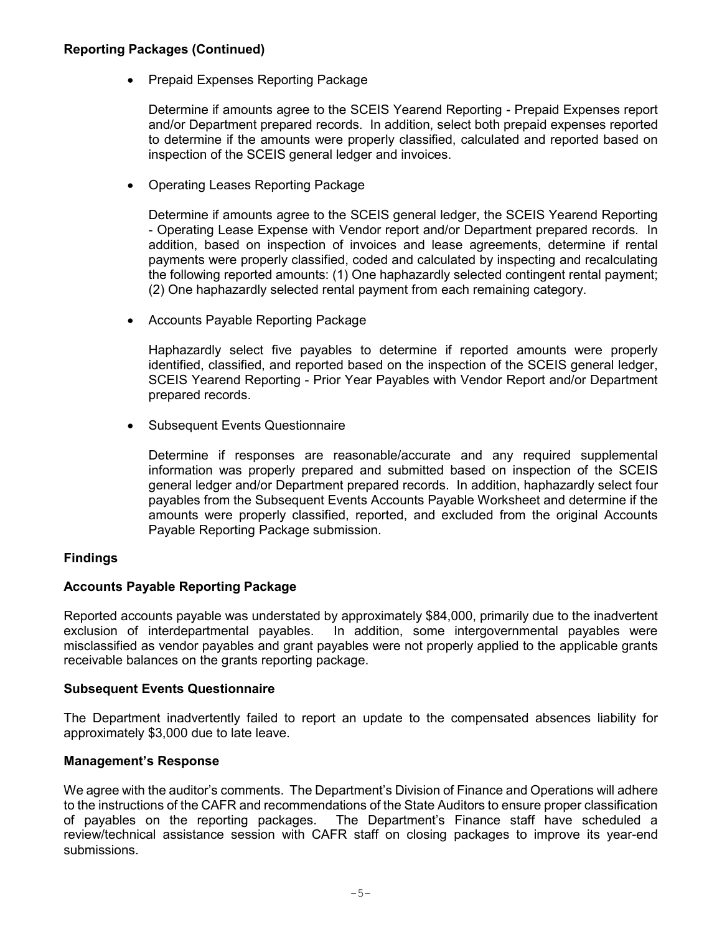## **Reporting Packages (Continued)**

• Prepaid Expenses Reporting Package

Determine if amounts agree to the SCEIS Yearend Reporting - Prepaid Expenses report and/or Department prepared records. In addition, select both prepaid expenses reported to determine if the amounts were properly classified, calculated and reported based on inspection of the SCEIS general ledger and invoices.

• Operating Leases Reporting Package

Determine if amounts agree to the SCEIS general ledger, the SCEIS Yearend Reporting - Operating Lease Expense with Vendor report and/or Department prepared records. In addition, based on inspection of invoices and lease agreements, determine if rental payments were properly classified, coded and calculated by inspecting and recalculating the following reported amounts: (1) One haphazardly selected contingent rental payment; (2) One haphazardly selected rental payment from each remaining category.

• Accounts Payable Reporting Package

Haphazardly select five payables to determine if reported amounts were properly identified, classified, and reported based on the inspection of the SCEIS general ledger, SCEIS Yearend Reporting - Prior Year Payables with Vendor Report and/or Department prepared records.

• Subsequent Events Questionnaire

Determine if responses are reasonable/accurate and any required supplemental information was properly prepared and submitted based on inspection of the SCEIS general ledger and/or Department prepared records. In addition, haphazardly select four payables from the Subsequent Events Accounts Payable Worksheet and determine if the amounts were properly classified, reported, and excluded from the original Accounts Payable Reporting Package submission.

# **Findings**

## **Accounts Payable Reporting Package**

Reported accounts payable was understated by approximately \$84,000, primarily due to the inadvertent exclusion of interdepartmental payables. In addition, some intergovernmental payables were misclassified as vendor payables and grant payables were not properly applied to the applicable grants receivable balances on the grants reporting package.

## **Subsequent Events Questionnaire**

The Department inadvertently failed to report an update to the compensated absences liability for approximately \$3,000 due to late leave.

## **Management's Response**

We agree with the auditor's comments. The Department's Division of Finance and Operations will adhere to the instructions of the CAFR and recommendations of the State Auditors to ensure proper classification of payables on the reporting packages. The Department's Finance staff have scheduled a review/technical assistance session with CAFR staff on closing packages to improve its year-end submissions.